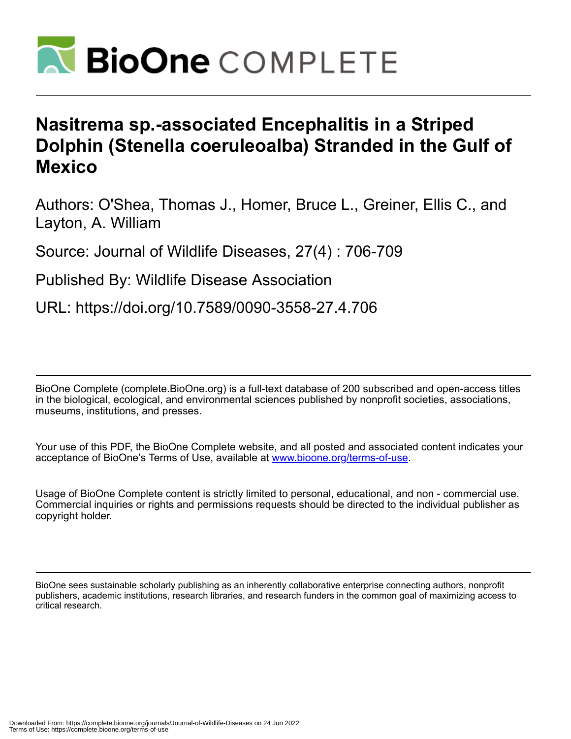

## **Nasitrema sp.-associated Encephalitis in a Striped Dolphin (Stenella coeruleoalba) Stranded in the Gulf of Mexico**

Authors: O'Shea, Thomas J., Homer, Bruce L., Greiner, Ellis C., and Layton, A. William

Source: Journal of Wildlife Diseases, 27(4) : 706-709

Published By: Wildlife Disease Association

URL: https://doi.org/10.7589/0090-3558-27.4.706

BioOne Complete (complete.BioOne.org) is a full-text database of 200 subscribed and open-access titles in the biological, ecological, and environmental sciences published by nonprofit societies, associations, museums, institutions, and presses.

Your use of this PDF, the BioOne Complete website, and all posted and associated content indicates your acceptance of BioOne's Terms of Use, available at www.bioone.org/terms-of-use.

Usage of BioOne Complete content is strictly limited to personal, educational, and non - commercial use. Commercial inquiries or rights and permissions requests should be directed to the individual publisher as copyright holder.

BioOne sees sustainable scholarly publishing as an inherently collaborative enterprise connecting authors, nonprofit publishers, academic institutions, research libraries, and research funders in the common goal of maximizing access to critical research.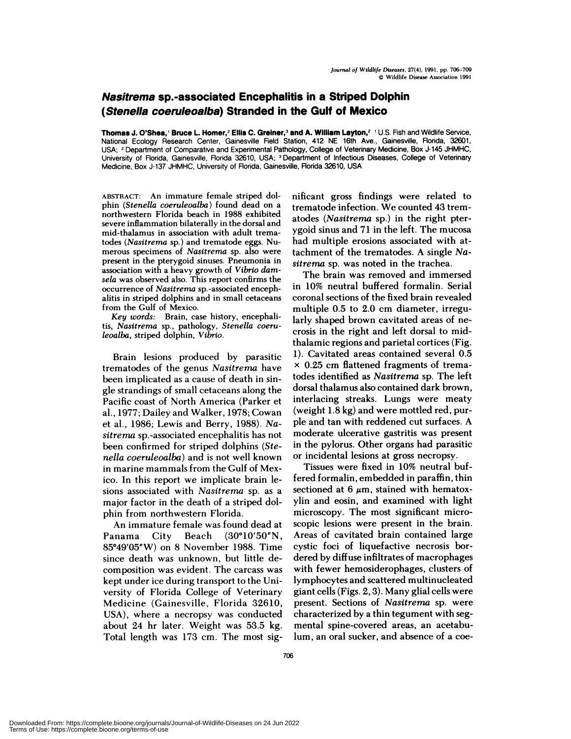## **Nasitrema sp.-associated Encephalitis in a Striped Dolphin (Stenella coeruleoalba) Stranded in the Gulf of Mexico**

**Thomas J.O'Shea,'** Bruce L **Homer,2 Ellis C. Greiner,3 and A. William** Layton,2 'U.S. Fish and Wildlife Service, National Ecology Research Center, Gainesville Field Station, 412 NE 16th Ave., Gainesville, Rorida, 32601, USA; <sup>2</sup> Department of Comparative and Experimental Pathology, College of Veterinary Medicine, Box J-145 JHMHC, University of Rorida, Gainesville, Rorida 32610, USA; 3Department of Infectious Diseases, College of Veterinary Medicine, Box J-137 JHMHC, University of Florida, Gainesville, Ronda 32610, USA

**ABSTRACT: An immature** female striped dolphin *(Stenella coeruleoalba)* found dead on a northwestern Florida beach in 1988 exhibited severe inflammation bilaterally in the dorsal and mid-thalamus in association with adult trematodes *(Nasitrema* sp.) and trematode eggs. Nu merous specimens of *Nasitrerna* sp. also were present in the pterygoid sinuses. Pneumonia in association with a heavy growth of *Vibrio damsela* was observed also. This report confirms the occurrence of *Nasitrema* sp. -associated encephalitis in striped dolphins and in small cetaceans **from** the Gulf of Mexico.

*Key words:* Brain, case history, encephalitis, *Nasitrema* sp., pathology, *Stenella coeruleoalba,* striped dolphin, *Vibrio.*

Brain lesions produced by parasitic trematodes of the genus *Nasitrema* have been implicated as a cause of death in single strandings of small cetaceans along the Pacific coast of North America (Parker et al., 1977; Dailey and Walker, 1978; Cowan et al., 1986; Lewis and Berry, 1988). *Nasitrerna* sp. -associated encephalitis has not been confirmed for striped dolphins *(Stenella coeruleoalba)* and is not well known in marine mammals from theGulf of Mexico. In this report we implicate brain lesions associated with *Nasitrerna* sp. as a major factor in the death of a striped dolphin from northwestern Florida.

An immature female was found dead at Panama City Beach (30°10'50"N, 85°49'05"W) on 8 November 1988. Time since death was unknown, but little decomposition was evident. The carcass was kept under ice during transport to the University of Florida College of Veterinary Medicine (Gainesville, Florida 32610, USA), where a necropsy was conducted about 24 hr later. Weight was 53.5 kg. Total length was 173 cm. The most significant gross findings were related to trematode infection. We counted 43 trematodes *(Nasitrema* sp.) in the right pterygoid sinus and 71 in the left. The mucosa had multiple erosions associated with attachment of the trematodes. A single *Nasitrema* sp. was noted in the trachea.

The brain was removed and immersed in 10% neutral buffered formalin. Serial coronal sections of the fixed brain revealed multiple 0.5 to 2.0 cm diameter, irregularly shaped brown cavitated areas of ne crosis in the right and left dorsal to midthalamic regions and parietal cortices (Fig. 1). Cavitated areas contained several 0.5 x 0.25 cm flattened fragments of trematodes identified as *Nasitrema* sp. The left dorsal thalamus also contained dark brown, interlacing streaks. Lungs were meaty (weight 1.8 kg) and were mottled red, purple and tan with reddened cut surfaces. A moderate ulcerative gastritis was present in the pylorus. Other organs had parasitic or incidental lesions at gross necropsy.

Tissues were fixed in 10% neutral buffered formalin, embedded in paraffin, thin sectioned at  $6 \mu m$ , stained with hematoxylin and eosin, and examined with light microscopy. The most significant microscopic lesions were present in the brain. Areas of cavitated brain contained large cystic foci of liquefactive necrosis bordered by diffuse infiltrates of macrophages with fewer hemosiderophages, clusters of lymphocytes and scattered multinucleated giant cells (Figs. 2,3). Many glial cells were present. Sections of *Nasitrema* sp. were characterized by a thin tegument with segmental spine-covered areas, an acetabulum, an oral sucker, and absence of a coe-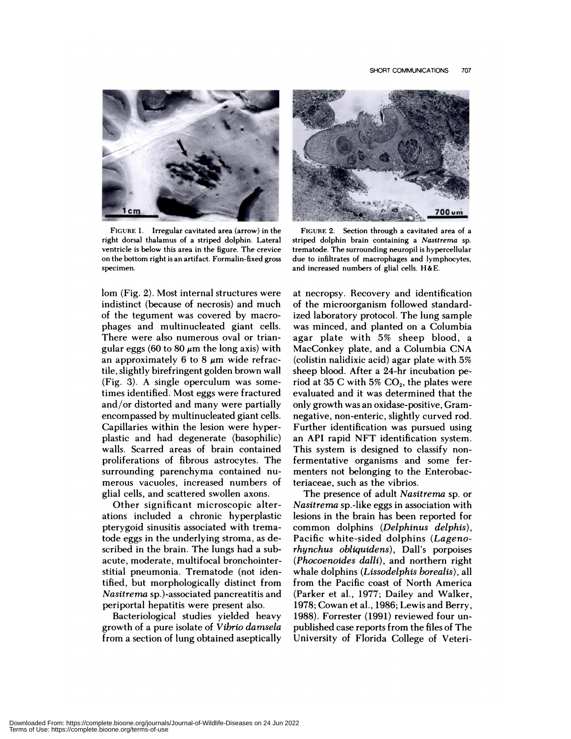

**FIGURE** 1. **Irregular cavitated area (arrow) in** the right dorsal thalamus of a striped dolphin. Lateral ventricle is below this area in the figure. The crevice on the bottom right is an artifact. Formalin-fixed gross specimen.

lom (Fig. 2). Most internal structures were indistinct (because of necrosis) and much of the tegument was covered by macro phages and multinucleated giant cells. There were also numerous oval or triangular eggs (60 to 80  $\mu$ m the long axis) with an approximately 6 to 8  $\mu$ m wide refractile, slightly birefringent golden brown wall (Fig. 3). <sup>A</sup> single operculum was sometimes identified. Most eggs were fractured and/or distorted and many were partially encompassed by multinucleated giant cells. Capillaries within the lesion were hyperplastic and had degenerate (basophilic) walls. Scarred areas of brain contained proliferations of fibrous astrocytes. The surrounding parenchyma contained nu merous vacuoles, increased numbers of glial cells, and scattered swollen axons.

Other significant microscopic alterations included a chronic hyperplastic pterygoid sinusitis associated with trematode eggs in the underlying stroma, as described in the brain. The lungs had a subacute, moderate, multifocal bronchointerstitial pneumonia. Trematode (not identified, but morphologically distinct from *Nasitrerna* sp.)-associated pancreatitis and periportal hepatitis were present also.

Bacteriological studies yielded heavy growth of a pure isolate of *Vibrio damsela* from a section of lung obtained aseptically



**FIGURE** 2. Section through a cavitated area of a striped dolphin brain containing a *Nasitrerna* sp. trematode. The surrounding neuropil is hypercellular due to infiltrates of macrophages and lymphocytes, and increased numbers of glial cells. H&E.

at necropsy. Recovery and identification of the microorganism followed standardized laboratory protocol. The lung sample was minced, and planted on a Columbia agar plate with 5% sheep blood, a MacConkey plate, and a Columbia CNA (colistin nalidixic acid) agar plate with 5% sheep blood. After a 24-hr incubation period at 35 C with 5%  $CO<sub>2</sub>$ , the plates were evaluated and it was determined that the only growth was an oxidase-positive, Gramnegative, non-enteric, slightly curved rod. Further identification was pursued using an API rapid NFT identification system. This system is designed to classify nonfermentative organisms and some fermenters not belonging to the Enterobacteriaceae, such as the vibrios.

The presence of adult *Nasitrema* sp. or *Nasitrerna* sp.-like eggs in association with lesions in the brain has been reported for common dolphins *(Del phinus delphis),* Pacific white-sided dolphins *(Lagenorhynchus obliquidens),* Dall's porpoises *(Phocoenoides dalli),* and northern right whale dolphins *(Lissodelphis borealis),* all from the Pacific coast of North America (Parker et al., 1977; Dailey and Walker, 1978; Cowan et al., 1986; Lewis and Berry, 1988). Forrester (1991) reviewed four unpublished case reports from the files of The University of Florida College of Veteri-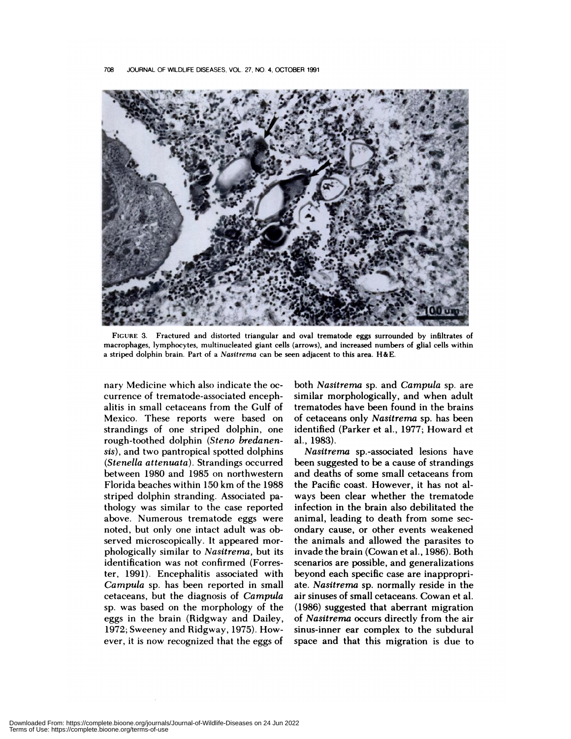

**FIGURE** 3. **Fractured and distorted triangular and oval trematode eggs surrounded** by infiltrates of **macrophages, lymphocytes, multinucleated giant cells (arrows), and increased numbers of** glial cells within a striped dolphin brain. Part of a *Nasitrema* can be seen adjacent to this area. H&E.

nary Medicine which also indicate the oc currence of trematode-associated encephalitis in small cetaceans from the Gulf of Mexico. These reports were based on strandings of one striped dolphin, one rough-toothed dolphin *(Steno bredanensis),* and two pantropical spotted dolphins *(Stenella attenuata).* Strandings occurred between 1980 and 1985 on northwestern Florida beaches within 150 km of the 1988 striped dolphin stranding. Associated pathology was similar to the case reported above. Numerous trematode eggs were noted, but only one intact adult was observed microscopically. It appeared mor phologically similar to *Nasitrerna,* but its identification was not confirmed (Forrester, 1991). Encephalitis associated with *Campula* sp. has been reported in small cetaceans, but the diagnosis of *Cam pula* sp. was based on the morphology of the eggs in the brain (Ridgway and Dailey, 1972; Sweeney and Ridgway, 1975). However, it is now recognized that the eggs of both *Nasitrema* sp. and *Campula* sp. are similar morphologically, and when adult trematodes have been found in the brains of cetaceans only *Nasitrema* sp. has been identified (Parker et al., 1977; Howard et al., 1983).

*Nasitrerna* sp. -associated lesions have been suggested to be a cause of strandings and deaths of some small cetaceans from the Pacific coast. However, it has not always been clear whether the trematode infection in the brain also debilitated the animal, leading to death from some sec ondary cause, or other events weakened the animals and allowed the parasites to invade the brain (Cowan et al., 1986). Both scenarios are possible, and generalizations beyond each specific case are inappropriate. *Nasitrema* sp. normally reside in the air sinuses of small cetaceans. Cowan et al. (1986) suggested that aberrant migration of *Nasitrerna* occurs directly from the air sinus-inner ear complex to the subdural space and that this migration is due to